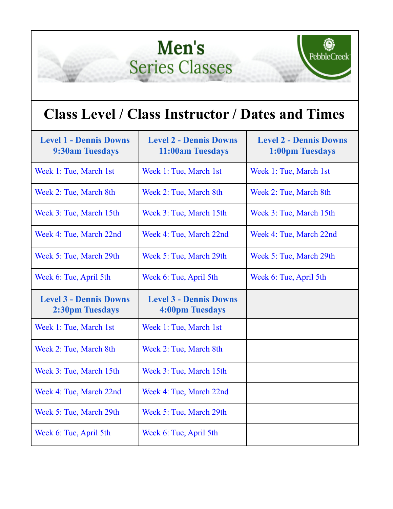## Men's **Series Classes**



## **Class Level / Class Instructor / Dates and Times**

| <b>Level 1 - Dennis Downs</b><br><b>9:30am Tuesdays</b> | <b>Level 2 - Dennis Downs</b><br>11:00am Tuesdays       | <b>Level 2 - Dennis Downs</b><br>1:00pm Tuesdays |
|---------------------------------------------------------|---------------------------------------------------------|--------------------------------------------------|
| Week 1: Tue, March 1st                                  | Week 1: Tue, March 1st                                  | Week 1: Tue, March 1st                           |
| Week 2: Tue, March 8th                                  | Week 2: Tue, March 8th                                  | Week 2: Tue, March 8th                           |
| Week 3: Tue, March 15th                                 | Week 3: Tue, March 15th                                 | Week 3: Tue, March 15th                          |
| Week 4: Tue, March 22nd                                 | Week 4: Tue, March 22nd                                 | Week 4: Tue, March 22nd                          |
| Week 5: Tue, March 29th                                 | Week 5: Tue, March 29th                                 | Week 5: Tue, March 29th                          |
| Week 6: Tue, April 5th                                  | Week 6: Tue, April 5th                                  | Week 6: Tue, April 5th                           |
|                                                         |                                                         |                                                  |
| <b>Level 3 - Dennis Downs</b><br><b>2:30pm Tuesdays</b> | <b>Level 3 - Dennis Downs</b><br><b>4:00pm Tuesdays</b> |                                                  |
| Week 1: Tue, March 1st                                  | Week 1: Tue, March 1st                                  |                                                  |
| Week 2: Tue, March 8th                                  | Week 2: Tue, March 8th                                  |                                                  |
| Week 3: Tue, March 15th                                 | Week 3: Tue, March 15th                                 |                                                  |
| Week 4: Tue, March 22nd                                 | Week 4: Tue, March 22nd                                 |                                                  |
| Week 5: Tue, March 29th                                 | Week 5: Tue, March 29th                                 |                                                  |